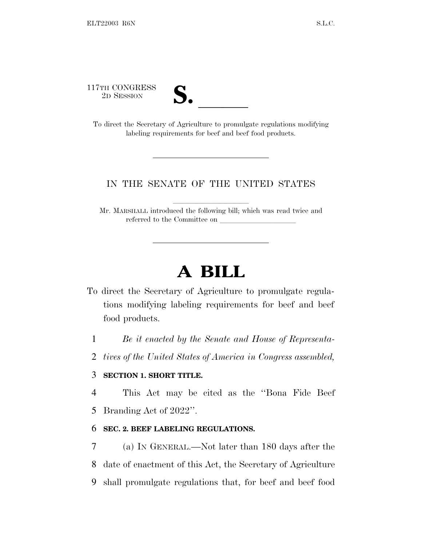117TH CONGRESS



TH CONGRESS<br>
2D SESSION<br>
To direct the Secretary of Agriculture to promulgate regulations modifying labeling requirements for beef and beef food products.

## IN THE SENATE OF THE UNITED STATES

Mr. MARSHALL introduced the following bill; which was read twice and referred to the Committee on

## **A BILL**

To direct the Secretary of Agriculture to promulgate regulations modifying labeling requirements for beef and beef food products.

1 *Be it enacted by the Senate and House of Representa-*

2 *tives of the United States of America in Congress assembled,*

## 3 **SECTION 1. SHORT TITLE.**

4 This Act may be cited as the ''Bona Fide Beef

5 Branding Act of 2022''.

## 6 **SEC. 2. BEEF LABELING REGULATIONS.**

7 (a) I<sup>N</sup> GENERAL.—Not later than 180 days after the 8 date of enactment of this Act, the Secretary of Agriculture 9 shall promulgate regulations that, for beef and beef food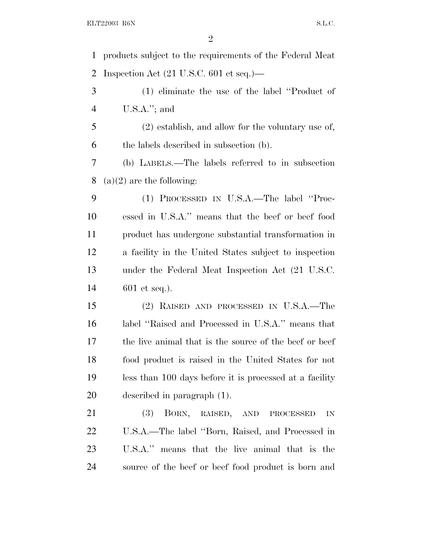products subject to the requirements of the Federal Meat Inspection Act (21 U.S.C. 601 et seq.)—

 (1) eliminate the use of the label ''Product of U.S.A.''; and

 (2) establish, and allow for the voluntary use of, the labels described in subsection (b).

 (b) LABELS.—The labels referred to in subsection 8 (a) $(2)$  are the following:

 (1) PROCESSED IN U.S.A.—The label ''Proc- essed in U.S.A.'' means that the beef or beef food product has undergone substantial transformation in a facility in the United States subject to inspection under the Federal Meat Inspection Act (21 U.S.C. 601 et seq.).

 (2) RAISED AND PROCESSED IN U.S.A.—The label ''Raised and Processed in U.S.A.'' means that 17 the live animal that is the source of the beef or beef food product is raised in the United States for not less than 100 days before it is processed at a facility described in paragraph (1).

 (3) BORN, RAISED, AND PROCESSED IN U.S.A.—The label ''Born, Raised, and Processed in U.S.A.'' means that the live animal that is the source of the beef or beef food product is born and